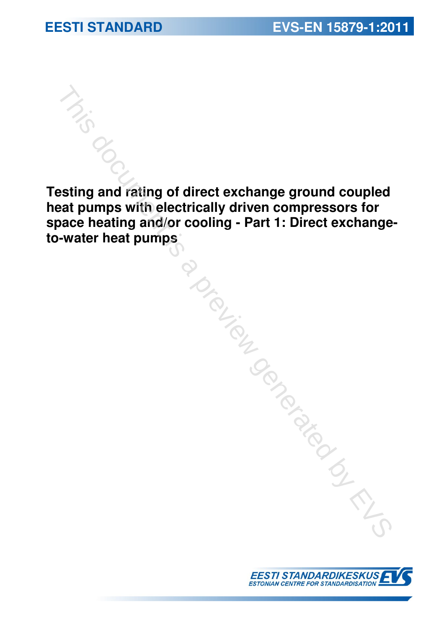**Testing and rating of direct exchange ground coupled heat pumps with electrically driven compressors for space heating and/or cooling - Part 1: Direct exchangeto the matter heat pumps with electrically driven compressors for space heating and/or cooling - Part 1: Direct exchange to-water heat pumps**<br>space heating and/or cooling - Part 1: Direct exchange<br>to-water heat pumps<br>and

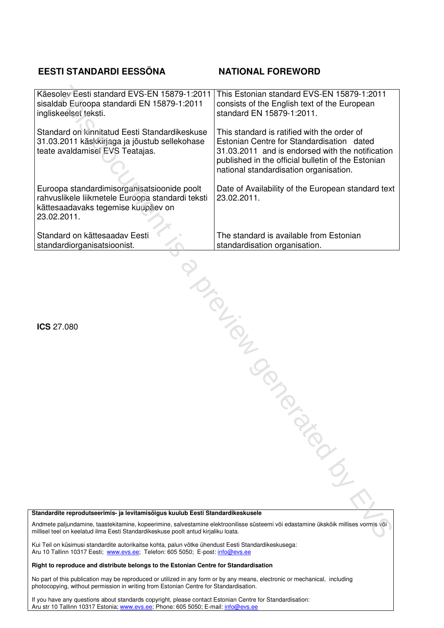### **EESTI STANDARDI EESSÕNA NATIONAL FOREWORD**

| Käesolev Eesti standard EVS-EN 15879-1:2011<br>sisaldab Euroopa standardi EN 15879-1:2011<br>ingliskeelset teksti.                                                                                                        | This Estonian standard EVS-EN 15879-1:2011<br>consists of the English text of the European<br>standard EN 15879-1:2011.                                                                                                                      |
|---------------------------------------------------------------------------------------------------------------------------------------------------------------------------------------------------------------------------|----------------------------------------------------------------------------------------------------------------------------------------------------------------------------------------------------------------------------------------------|
| Standard on kinnitatud Eesti Standardikeskuse<br>31.03.2011 käskkirjaga ja jõustub sellekohase<br>teate avaldamisel EVS Teatajas.                                                                                         | This standard is ratified with the order of<br>Estonian Centre for Standardisation dated<br>31.03.2011 and is endorsed with the notification<br>published in the official bulletin of the Estonian<br>national standardisation organisation. |
| Euroopa standardimisorganisatsioonide poolt<br>rahvuslikele liikmetele Euroopa standardi teksti<br>kättesaadavaks tegemise kuupäev on<br>23.02.2011.                                                                      | Date of Availability of the European standard text<br>23.02.2011.                                                                                                                                                                            |
| Standard on kättesaadav Eesti<br>standardiorganisatsioonist.                                                                                                                                                              | The standard is available from Estonian<br>standardisation organisation.                                                                                                                                                                     |
| <b>ICS 27.080</b>                                                                                                                                                                                                         | January 1916                                                                                                                                                                                                                                 |
|                                                                                                                                                                                                                           |                                                                                                                                                                                                                                              |
|                                                                                                                                                                                                                           | PROCESS                                                                                                                                                                                                                                      |
| Standardite reprodutseerimis- ja levitamisõigus kuulub Eesti Standardikeskusele                                                                                                                                           |                                                                                                                                                                                                                                              |
| Andmete paljundamine, taastekitamine, kopeerimine, salvestamine elektroonilisse süsteemi või edastamine ükskõik millises vormis või<br>millisel teel on keelatud ilma Eesti Standardikeskuse poolt antud kirjaliku loata. |                                                                                                                                                                                                                                              |

#### **Standardite reprodutseerimis- ja levitamisõigus kuulub Eesti Standardikeskusele**

Kui Teil on küsimusi standardite autorikaitse kohta, palun võtke ühendust Eesti Standardikeskusega: Aru 10 Tallinn 10317 Eesti; www.evs.ee; Telefon: 605 5050; E-post: info@evs.ee

#### **Right to reproduce and distribute belongs to the Estonian Centre for Standardisation**

No part of this publication may be reproduced or utilized in any form or by any means, electronic or mechanical, including photocopying, without permission in writing from Estonian Centre for Standardisation.

If you have any questions about standards copyright, please contact Estonian Centre for Standardisation: Aru str 10 Tallinn 10317 Estonia; www.evs.ee; Phone: 605 5050; E-mail: info@evs.e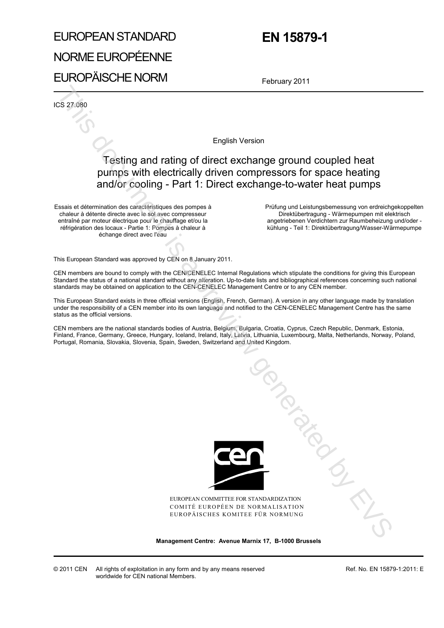# EUROPEAN STANDARD NORME EUROPÉENNE EUROPÄISCHE NORM

# **EN 15879-1**

February 2011

ICS 27.080

English Version

## Testing and rating of direct exchange ground coupled heat pumps with electrically driven compressors for space heating and/or cooling - Part 1: Direct exchange-to-water heat pumps

Essais et détermination des caractéristiques des pompes à chaleur à détente directe avec le sol avec compresseur entraîné par moteur électrique pour le chauffage et/ou la réfrigération des locaux - Partie 1: Pompes à chaleur à échange direct avec l'eau

 Prüfung und Leistungsbemessung von erdreichgekoppelten Direktübertragung - Wärmepumpen mit elektrisch angetriebenen Verdichtern zur Raumbeheizung und/oder kühlung - Teil 1: Direktübertragung/Wasser-Wärmepumpe

This European Standard was approved by CEN on 8 January 2011.

CEN members are bound to comply with the CEN/CENELEC Internal Regulations which stipulate the conditions for giving this European Standard the status of a national standard without any alteration. Up-to-date lists and bibliographical references concerning such national standards may be obtained on application to the CEN-CENELEC Management Centre or to any CEN member.

This European Standard exists in three official versions (English, French, German). A version in any other language made by translation under the responsibility of a CEN member into its own language and notified to the CEN-CENELEC Management Centre has the same status as the official versions.

CEN members are the national standards bodies of Austria, Belgium, Bulgaria, Croatia, Cyprus, Czech Republic, Denmark, Estonia, Finland, France, Germany, Greece, Hungary, Iceland, Ireland, Italy, Latvia, Lithuania, Luxembourg, Malta, Netherlands, Norway, Poland, Portugal, Romania, Slovakia, Slovenia, Spain, Sweden, Switzerland and United Kingdom.



EUROPEAN COMMITTEE FOR STANDARDIZATION COMITÉ EUROPÉEN DE NORMALISATION EUROPÄISCHES KOMITEE FÜR NORMUNG This document is

**Management Centre: Avenue Marnix 17, B-1000 Brussels**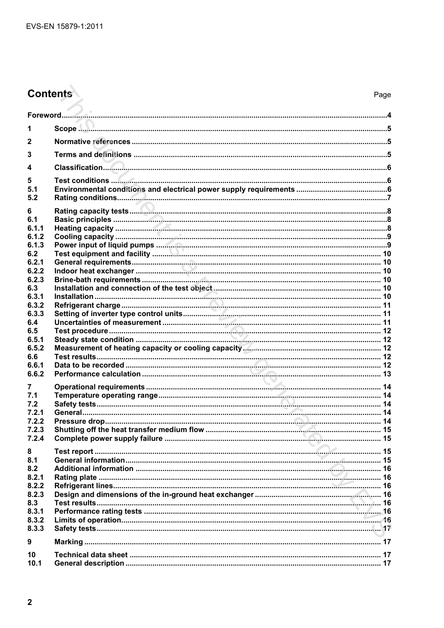# Contents

| 1               |  |
|-----------------|--|
| $\overline{2}$  |  |
| 3               |  |
| 4               |  |
| 5               |  |
| 5.1             |  |
| 5.2             |  |
| 6<br>6.1        |  |
| 6.1.1           |  |
| 6.1.2           |  |
| 6.1.3           |  |
| 6.2             |  |
| 6.2.1           |  |
| 6.2.2           |  |
| 6.2.3           |  |
| 6.3             |  |
| 6.3.1           |  |
| 6.3.2           |  |
| 6.3.3           |  |
|                 |  |
| 6.4<br>6.5      |  |
| 6.5.1           |  |
| 6.5.2           |  |
| 6.6             |  |
| 6.6.1           |  |
| 6.6.2           |  |
|                 |  |
| 7               |  |
| 7.1             |  |
| 7.2             |  |
| 7.2.1           |  |
| 7.2.2           |  |
| 7.2.3           |  |
| 7.2.4           |  |
| 8               |  |
| 8.1             |  |
| 8.2             |  |
| 8.2.1           |  |
| 8.2.2           |  |
| 8.2.3           |  |
| 8.3             |  |
| 8.3.1           |  |
| 8.3.2           |  |
| 8.3.3           |  |
|                 |  |
| 9               |  |
| 10 <sup>°</sup> |  |
| 10.1            |  |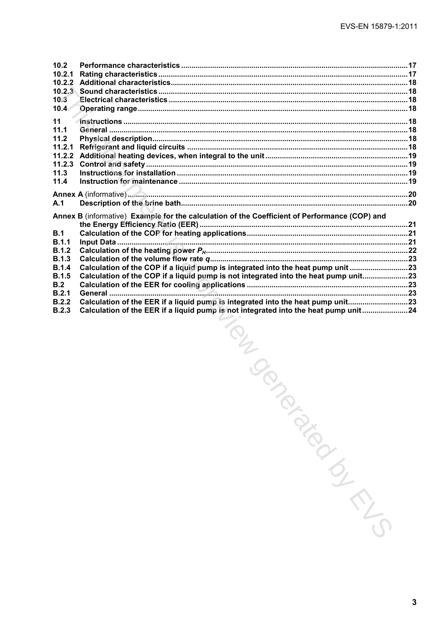| 10.2         |                                                                                               |  |
|--------------|-----------------------------------------------------------------------------------------------|--|
| 10.2.1       |                                                                                               |  |
| 10.2.2       |                                                                                               |  |
| 10.2.3       |                                                                                               |  |
| 10.3         |                                                                                               |  |
| 10.4         |                                                                                               |  |
| 11           |                                                                                               |  |
| 11.1         |                                                                                               |  |
| 11.2         |                                                                                               |  |
| 11.2.1       |                                                                                               |  |
| 11.2.2       |                                                                                               |  |
| 11.2.3       |                                                                                               |  |
| 11.3         |                                                                                               |  |
| 11.4         |                                                                                               |  |
|              |                                                                                               |  |
| A.1          |                                                                                               |  |
|              | Annex B (informative) Example for the calculation of the Coefficient of Performance (COP) and |  |
|              |                                                                                               |  |
| B.1          |                                                                                               |  |
| B.1.1        |                                                                                               |  |
| B.1.2        |                                                                                               |  |
| B.1.3        |                                                                                               |  |
| <b>B.1.4</b> | Calculation of the COP if a liquid pump is integrated into the heat pump unit 23              |  |
| B.1.5        | Calculation of the COP if a liquid pump is not integrated into the heat pump unit23           |  |
| B.2          |                                                                                               |  |
| B.2.1        |                                                                                               |  |
| B.2.2        | Calculation of the EER if a liquid pump is integrated into the heat pump unit23               |  |
| B.2.3        | Calculation of the EER if a liquid pump is not integrated into the heat pump unit24           |  |

Asion (Integral pis integral pis not integral pis not integral pis not integral pis not integral pis not integral pick that is a set of the contract of the contract of the contract of the contract of the contract of the co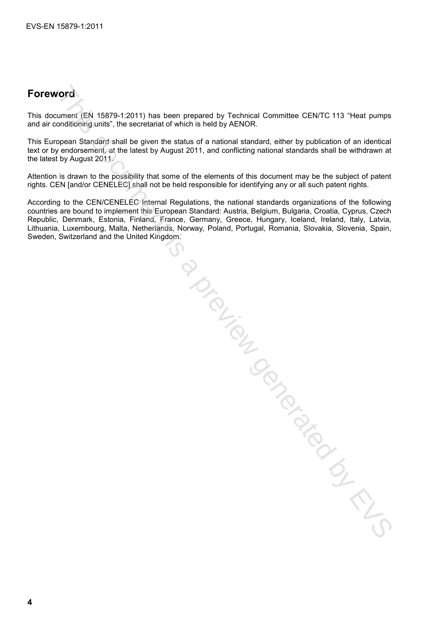# **Foreword**

This document (EN 15879-1:2011) has been prepared by Technical Committee CEN/TC 113 "Heat pumps and air conditioning units", the secretariat of which is held by AENOR.

This European Standard shall be given the status of a national standard, either by publication of an identical text or by endorsement, at the latest by August 2011, and conflicting national standards shall be withdrawn at the latest by August 2011.

Attention is drawn to the possibility that some of the elements of this document may be the subject of patent rights. CEN [and/or CENELEC] shall not be held responsible for identifying any or all such patent rights.

According to the CEN/CENELEC Internal Regulations, the national standards organizations of the following countries are bound to implement this European Standard: Austria, Belgium, Bulgaria, Croatia, Cyprus, Czech Republic, Denmark, Estonia, Finland, France, Germany, Greece, Hungary, Iceland, Ireland, Italy, Latvia, Lithuania, Luxembourg, Malta, Netherlands, Norway, Poland, Portugal, Romania, Slovakia, Slovenia, Spain, Sweden, Switzerland and the United Kingdom. Trial declines in the CIST of the CIST